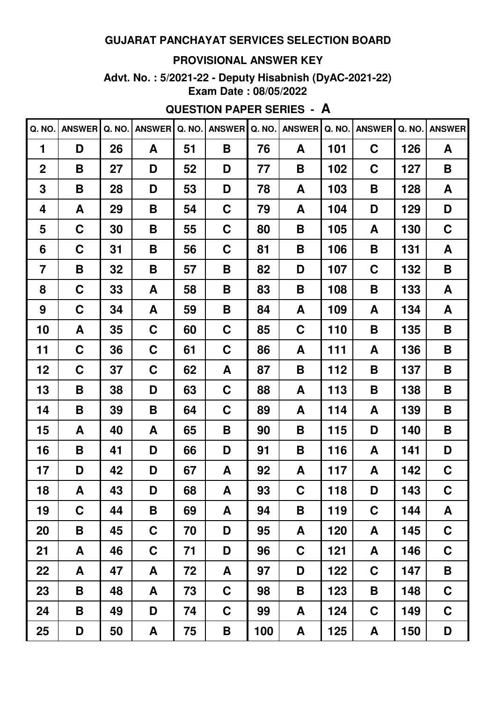#### **PROVISIONAL ANSWER KEY**

**Advt. No. : 5/2021-22 - Deputy Hisabnish (DyAC-2021-22) Exam Date : 08/05/2022**

# **QUESTION PAPER SERIES - A**

| Q. NO.         | ANSWER Q. NO. |    | <b>ANSWER</b> | Q. NO. | <b>ANSWER</b> | Q. NO. | <b>ANSWER</b> | Q. NO. | <b>ANSWER</b> | Q. NO. | <b>ANSWER</b> |
|----------------|---------------|----|---------------|--------|---------------|--------|---------------|--------|---------------|--------|---------------|
| 1              | D             | 26 | A             | 51     | B             | 76     | A             | 101    | $\mathbf C$   | 126    | A             |
| $\overline{2}$ | B             | 27 | D             | 52     | D             | 77     | B             | 102    | $\mathbf C$   | 127    | B             |
| 3              | B             | 28 | D             | 53     | D             | 78     | A             | 103    | B             | 128    | A             |
| 4              | A             | 29 | Β             | 54     | $\mathbf C$   | 79     | A             | 104    | D             | 129    | D             |
| 5              | $\mathbf C$   | 30 | B             | 55     | $\mathbf C$   | 80     | Β             | 105    | A             | 130    | C             |
| 6              | C             | 31 | B             | 56     | C             | 81     | Β             | 106    | B             | 131    | A             |
| $\overline{7}$ | B             | 32 | Β             | 57     | Β             | 82     | D             | 107    | C             | 132    | B             |
| 8              | $\mathbf C$   | 33 | A             | 58     | Β             | 83     | Β             | 108    | B             | 133    | A             |
| 9              | $\mathbf C$   | 34 | A             | 59     | Β             | 84     | A             | 109    | A             | 134    | A             |
| 10             | A             | 35 | $\mathbf C$   | 60     | $\mathbf C$   | 85     | C             | 110    | B             | 135    | B             |
| 11             | $\mathbf C$   | 36 | $\mathbf C$   | 61     | $\mathbf C$   | 86     | A             | 111    | A             | 136    | B             |
| 12             | $\mathbf C$   | 37 | $\mathbf C$   | 62     | A             | 87     | Β             | 112    | B             | 137    | B             |
| 13             | B             | 38 | D             | 63     | $\mathbf C$   | 88     | A             | 113    | B             | 138    | B             |
| 14             | B             | 39 | Β             | 64     | C             | 89     | A             | 114    | A             | 139    | B             |
| 15             | A             | 40 | A             | 65     | Β             | 90     | Β             | 115    | D             | 140    | B             |
| 16             | B             | 41 | D             | 66     | D             | 91     | Β             | 116    | A             | 141    | D             |
| 17             | D             | 42 | D             | 67     | A             | 92     | A             | 117    | A             | 142    | C             |
| 18             | A             | 43 | D             | 68     | A             | 93     | $\mathbf C$   | 118    | D             | 143    | $\mathbf C$   |
| 19             | $\mathbf C$   | 44 | B             | 69     | A             | 94     | Β             | 119    | C             | 144    | A             |
| 20             | B             | 45 | C             | 70     | D             | 95     | A             | 120    | A             | 145    | $\mathbf C$   |
| 21             | A             | 46 | $\mathbf C$   | 71     | D             | 96     | $\mathbf C$   | 121    | A             | 146    | $\mathbf C$   |
| 22             | A             | 47 | A             | 72     | A             | 97     | D             | 122    | $\mathbf C$   | 147    | B             |
| 23             | B             | 48 | A             | 73     | $\mathbf C$   | 98     | Β             | 123    | B             | 148    | $\mathbf C$   |
| 24             | B             | 49 | D             | 74     | $\mathbf C$   | 99     | A             | 124    | $\mathbf C$   | 149    | $\mathbf C$   |
| 25             | D             | 50 | A             | 75     | B             | 100    | A             | 125    | A             | 150    | D             |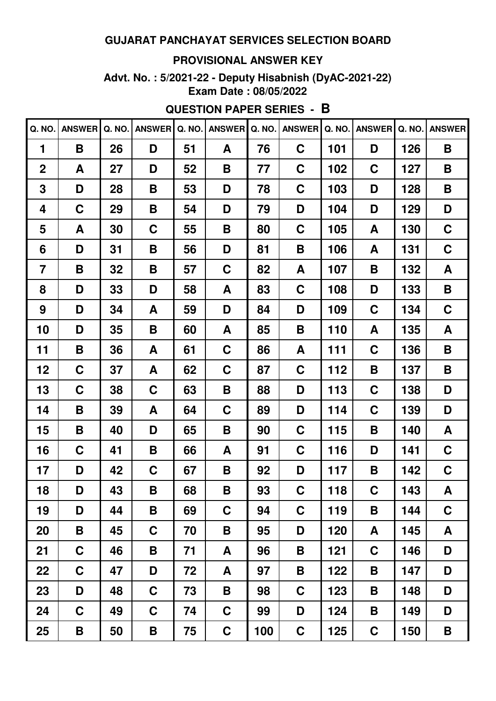#### **PROVISIONAL ANSWER KEY**

**Advt. No. : 5/2021-22 - Deputy Hisabnish (DyAC-2021-22) Exam Date : 08/05/2022**

# **QUESTION PAPER SERIES - B**

| Q. NO.         | <b>ANSWER</b> | Q. NO. | <b>ANSWER</b> | Q. NO. | <b>ANSWER</b> | Q. NO. | <b>ANSWER</b> | Q. NO. | <b>ANSWER</b> | Q. NO. | <b>ANSWER</b> |
|----------------|---------------|--------|---------------|--------|---------------|--------|---------------|--------|---------------|--------|---------------|
| 1              | B             | 26     | D             | 51     | A             | 76     | C             | 101    | D             | 126    | B             |
| $\mathbf 2$    | A             | 27     | D             | 52     | B             | 77     | C             | 102    | C             | 127    | B             |
| 3              | D             | 28     | B             | 53     | D             | 78     | C             | 103    | D             | 128    | B             |
| 4              | C             | 29     | B             | 54     | D             | 79     | D             | 104    | D             | 129    | D             |
| 5              | A             | 30     | C             | 55     | B             | 80     | C             | 105    | A             | 130    | C             |
| 6              | D             | 31     | B             | 56     | D             | 81     | B             | 106    | A             | 131    | C             |
| $\overline{7}$ | B             | 32     | B             | 57     | C             | 82     | A             | 107    | B             | 132    | A             |
| 8              | D             | 33     | D             | 58     | A             | 83     | C             | 108    | D             | 133    | B             |
| 9              | D             | 34     | A             | 59     | D             | 84     | D             | 109    | C             | 134    | C             |
| 10             | D             | 35     | B             | 60     | A             | 85     | B             | 110    | A             | 135    | A             |
| 11             | B             | 36     | A             | 61     | C             | 86     | A             | 111    | C             | 136    | B             |
| 12             | C             | 37     | A             | 62     | C             | 87     | C             | 112    | B             | 137    | B             |
| 13             | C             | 38     | C             | 63     | B             | 88     | D             | 113    | C             | 138    | D             |
| 14             | B             | 39     | A             | 64     | C             | 89     | D             | 114    | C             | 139    | D             |
| 15             | B             | 40     | D             | 65     | B             | 90     | C             | 115    | B             | 140    | A             |
| 16             | C             | 41     | B             | 66     | A             | 91     | C             | 116    | D             | 141    | C             |
| 17             | D             | 42     | C             | 67     | B             | 92     | D             | 117    | B             | 142    | C             |
| 18             | D             | 43     | B             | 68     | B             | 93     | $\mathbf C$   | 118    | $\mathbf C$   | 143    | A             |
| 19             | D             | 44     | B             | 69     | C             | 94     | $\mathbf C$   | 119    | B             | 144    | $\mathbf C$   |
| 20             | B             | 45     | C             | 70     | Β             | 95     | D             | 120    | A             | 145    | A             |
| 21             | $\mathbf C$   | 46     | B             | 71     | A             | 96     | Β             | 121    | $\mathbf C$   | 146    | D             |
| 22             | $\mathbf C$   | 47     | D             | 72     | A             | 97     | Β             | 122    | B             | 147    | D             |
| 23             | D             | 48     | $\mathbf C$   | 73     | B             | 98     | $\mathbf C$   | 123    | B             | 148    | D             |
| 24             | $\mathbf C$   | 49     | $\mathbf C$   | 74     | $\mathbf C$   | 99     | D             | 124    | B             | 149    | D             |
| 25             | B             | 50     | B             | 75     | $\mathbf C$   | 100    | $\mathbf C$   | 125    | $\mathbf C$   | 150    | Β             |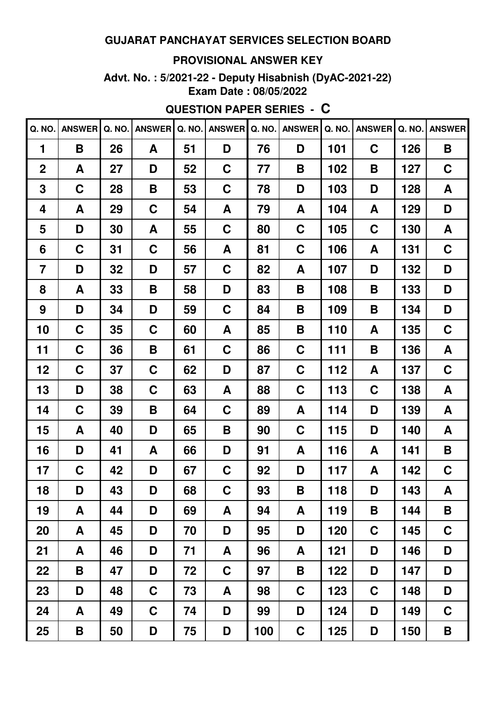#### **PROVISIONAL ANSWER KEY**

Advt. No.: 5/2021-22 - Deputy Hisabnish (DyAC-2021-22) Exam Date: 08/05/2022

**QUESTION PAPER SERIES - C** 

| Q. NO.           | <b>ANSWER</b> | Q. NO. | <b>ANSWER</b> | Q. NO. | <b>ANSWER</b> | Q. NO. | <b>ANSWER</b> | Q. NO. | <b>ANSWER</b> | Q. NO. | <b>ANSWER</b> |
|------------------|---------------|--------|---------------|--------|---------------|--------|---------------|--------|---------------|--------|---------------|
| 1                | B             | 26     | A             | 51     | D             | 76     | D             | 101    | $\mathbf C$   | 126    | B             |
| $\boldsymbol{2}$ | A             | 27     | D             | 52     | C             | 77     | B             | 102    | B             | 127    | $\mathbf C$   |
| 3                | $\mathbf C$   | 28     | B             | 53     | C             | 78     | D             | 103    | D             | 128    | A             |
| 4                | A             | 29     | C             | 54     | A             | 79     | A             | 104    | A             | 129    | D             |
| 5                | D             | 30     | A             | 55     | C             | 80     | C             | 105    | C             | 130    | A             |
| 6                | C             | 31     | $\mathbf C$   | 56     | A             | 81     | C             | 106    | A             | 131    | C             |
| $\overline{7}$   | D             | 32     | D             | 57     | C             | 82     | A             | 107    | D             | 132    | D             |
| 8                | A             | 33     | B             | 58     | D             | 83     | B             | 108    | B             | 133    | D             |
| 9                | D             | 34     | D             | 59     | C             | 84     | B             | 109    | B             | 134    | D             |
| 10               | C             | 35     | C             | 60     | A             | 85     | Β             | 110    | A             | 135    | C             |
| 11               | C             | 36     | B             | 61     | C             | 86     | C             | 111    | B             | 136    | A             |
| 12               | C             | 37     | $\mathbf C$   | 62     | D             | 87     | C             | 112    | A             | 137    | C             |
| 13               | D             | 38     | $\mathbf C$   | 63     | A             | 88     | C             | 113    | C             | 138    | A             |
| 14               | C             | 39     | B             | 64     | C             | 89     | A             | 114    | D             | 139    | A             |
| 15               | A             | 40     | D             | 65     | B             | 90     | C             | 115    | D             | 140    | A             |
| 16               | D             | 41     | A             | 66     | D             | 91     | A             | 116    | A             | 141    | B             |
| 17               | C             | 42     | D             | 67     | C             | 92     | D             | 117    | A             | 142    | C             |
| 18               | D             | 43     | D             | 68     | $\mathbf C$   | 93     | B             | 118    | D             | 143    | A             |
| 19               | A             | 44     | D             | 69     | A             | 94     | A             | 119    | B             | 144    | B             |
| 20               | A             | 45     | D             | 70     | D             | 95     | D             | 120    | C             | 145    | $\mathbf C$   |
| 21               | A             | 46     | D             | 71     | A             | 96     | A             | 121    | D             | 146    | D             |
| 22               | B             | 47     | D             | 72     | $\mathbf C$   | 97     | B             | 122    | D             | 147    | D             |
| 23               | D             | 48     | $\mathbf C$   | 73     | A             | 98     | $\mathbf C$   | 123    | C             | 148    | D             |
| 24               | A             | 49     | $\mathbf C$   | 74     | D             | 99     | D             | 124    | D             | 149    | $\mathbf C$   |
| 25               | B             | 50     | D             | 75     | D             | 100    | C             | 125    | D             | 150    | B             |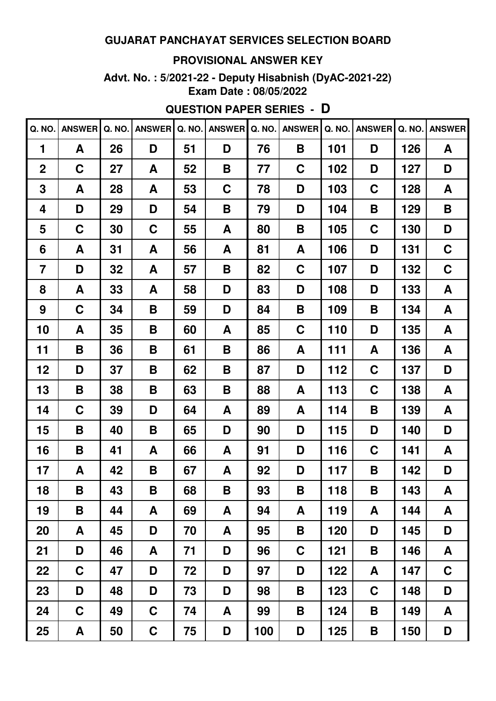#### **PROVISIONAL ANSWER KEY**

**Advt. No. : 5/2021-22 - Deputy Hisabnish (DyAC-2021-22) Exam Date : 08/05/2022**

# **QUESTION PAPER SERIES - D**

| Q. NO.         | <b>ANSWER</b> | Q. NO. | <b>ANSWER</b> | Q. NO. | <b>ANSWER</b> | Q. NO. | <b>ANSWER</b> | Q. NO. | <b>ANSWER</b> | Q. NO. | <b>ANSWER</b> |
|----------------|---------------|--------|---------------|--------|---------------|--------|---------------|--------|---------------|--------|---------------|
| 1              | A             | 26     | D             | 51     | D             | 76     | B             | 101    | D             | 126    | A             |
| $\overline{2}$ | C             | 27     | A             | 52     | B             | 77     | C             | 102    | D             | 127    | D             |
| 3              | A             | 28     | A             | 53     | C             | 78     | D             | 103    | C             | 128    | A             |
| 4              | D             | 29     | D             | 54     | B             | 79     | D             | 104    | B             | 129    | Β             |
| 5              | C             | 30     | C             | 55     | A             | 80     | B             | 105    | C             | 130    | D             |
| 6              | A             | 31     | A             | 56     | A             | 81     | A             | 106    | D             | 131    | C             |
| $\overline{7}$ | D             | 32     | A             | 57     | Β             | 82     | C             | 107    | D             | 132    | $\mathbf C$   |
| 8              | A             | 33     | A             | 58     | D             | 83     | D             | 108    | D             | 133    | A             |
| 9              | C             | 34     | Β             | 59     | D             | 84     | B             | 109    | B             | 134    | A             |
| 10             | A             | 35     | Β             | 60     | A             | 85     | C             | 110    | D             | 135    | A             |
| 11             | B             | 36     | B             | 61     | B             | 86     | A             | 111    | A             | 136    | A             |
| 12             | D             | 37     | Β             | 62     | B             | 87     | D             | 112    | C             | 137    | D             |
| 13             | Β             | 38     | Β             | 63     | Β             | 88     | A             | 113    | C             | 138    | A             |
| 14             | C             | 39     | D             | 64     | A             | 89     | A             | 114    | B             | 139    | A             |
| 15             | B             | 40     | Β             | 65     | D             | 90     | D             | 115    | D             | 140    | D             |
| 16             | B             | 41     | A             | 66     | A             | 91     | D             | 116    | C             | 141    | A             |
| 17             | A             | 42     | B             | 67     | A             | 92     | D             | 117    | B             | 142    | D             |
| 18             | B             | 43     | B             | 68     | Β             | 93     | B             | 118    | B             | 143    | A             |
| 19             | B             | 44     | A             | 69     | A             | 94     | A             | 119    | A             | 144    | A             |
| 20             | A             | 45     | D             | 70     | A             | 95     | Β             | 120    | D             | 145    | D             |
| 21             | D             | 46     | A             | 71     | D             | 96     | $\mathbf C$   | 121    | B             | 146    | A             |
| 22             | $\mathbf C$   | 47     | D             | 72     | D             | 97     | D             | 122    | A             | 147    | $\mathbf C$   |
| 23             | D             | 48     | D             | 73     | D             | 98     | Β             | 123    | $\mathbf C$   | 148    | D             |
| 24             | $\mathbf C$   | 49     | $\mathbf C$   | 74     | A             | 99     | Β             | 124    | B             | 149    | A             |
| 25             | A             | 50     | $\mathbf C$   | 75     | D             | 100    | D             | 125    | B             | 150    | D             |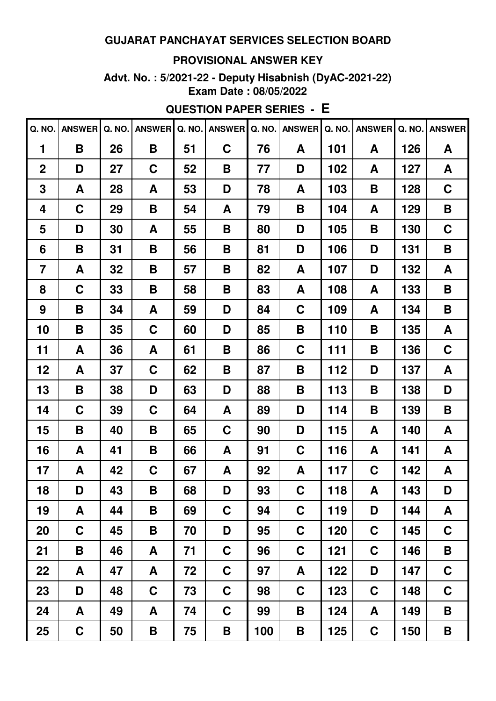#### **PROVISIONAL ANSWER KEY**

**Advt. No. : 5/2021-22 - Deputy Hisabnish (DyAC-2021-22) Exam Date : 08/05/2022**

# **QUESTION PAPER SERIES - E**

| Q. NO.         | <b>ANSWER</b> | Q. NO. | <b>ANSWER</b> | Q. NO. | <b>ANSWER</b> | Q. NO. | <b>ANSWER</b> | Q. NO. | <b>ANSWER</b> | Q. NO. | <b>ANSWER</b> |
|----------------|---------------|--------|---------------|--------|---------------|--------|---------------|--------|---------------|--------|---------------|
| 1              | B             | 26     | B             | 51     | $\mathbf C$   | 76     | A             | 101    | A             | 126    | A             |
| $\overline{2}$ | D             | 27     | C             | 52     | B             | 77     | D             | 102    | A             | 127    | A             |
| 3              | A             | 28     | A             | 53     | D             | 78     | A             | 103    | B             | 128    | $\mathbf C$   |
| 4              | $\mathbf C$   | 29     | B             | 54     | A             | 79     | B             | 104    | A             | 129    | Β             |
| 5              | D             | 30     | A             | 55     | Β             | 80     | D             | 105    | B             | 130    | $\mathbf C$   |
| 6              | B             | 31     | B             | 56     | B             | 81     | D             | 106    | D             | 131    | B             |
| $\overline{7}$ | A             | 32     | Β             | 57     | Β             | 82     | A             | 107    | D             | 132    | A             |
| 8              | C             | 33     | B             | 58     | Β             | 83     | A             | 108    | A             | 133    | B             |
| 9              | B             | 34     | A             | 59     | D             | 84     | C             | 109    | A             | 134    | B             |
| 10             | B             | 35     | C             | 60     | D             | 85     | B             | 110    | B             | 135    | A             |
| 11             | A             | 36     | A             | 61     | Β             | 86     | C             | 111    | B             | 136    | C             |
| 12             | A             | 37     | C             | 62     | Β             | 87     | B             | 112    | D             | 137    | A             |
| 13             | B             | 38     | D             | 63     | D             | 88     | B             | 113    | B             | 138    | D             |
| 14             | C             | 39     | C             | 64     | A             | 89     | D             | 114    | B             | 139    | B             |
| 15             | B             | 40     | B             | 65     | C             | 90     | D             | 115    | A             | 140    | A             |
| 16             | A             | 41     | B             | 66     | A             | 91     | C             | 116    | A             | 141    | A             |
| 17             | A             | 42     | C             | 67     | A             | 92     | A             | 117    | C             | 142    | A             |
| 18             | D             | 43     | B             | 68     | D             | 93     | $\mathbf C$   | 118    | A             | 143    | D             |
| 19             | A             | 44     | Β             | 69     | C             | 94     | C             | 119    | D             | 144    | A             |
| 20             | $\mathbf C$   | 45     | Β             | 70     | D             | 95     | C             | 120    | $\mathbf C$   | 145    | $\mathbf C$   |
| 21             | B             | 46     | A             | 71     | C             | 96     | C             | 121    | $\mathbf C$   | 146    | B             |
| 22             | A             | 47     | A             | 72     | C             | 97     | A             | 122    | D             | 147    | $\mathbf C$   |
| 23             | D             | 48     | $\mathbf C$   | 73     | C             | 98     | C             | 123    | $\mathbf C$   | 148    | $\mathbf C$   |
| 24             | A             | 49     | A             | 74     | $\mathbf C$   | 99     | Β             | 124    | A             | 149    | B             |
| 25             | $\mathbf C$   | 50     | B             | 75     | B             | 100    | B             | 125    | $\mathbf C$   | 150    | B             |